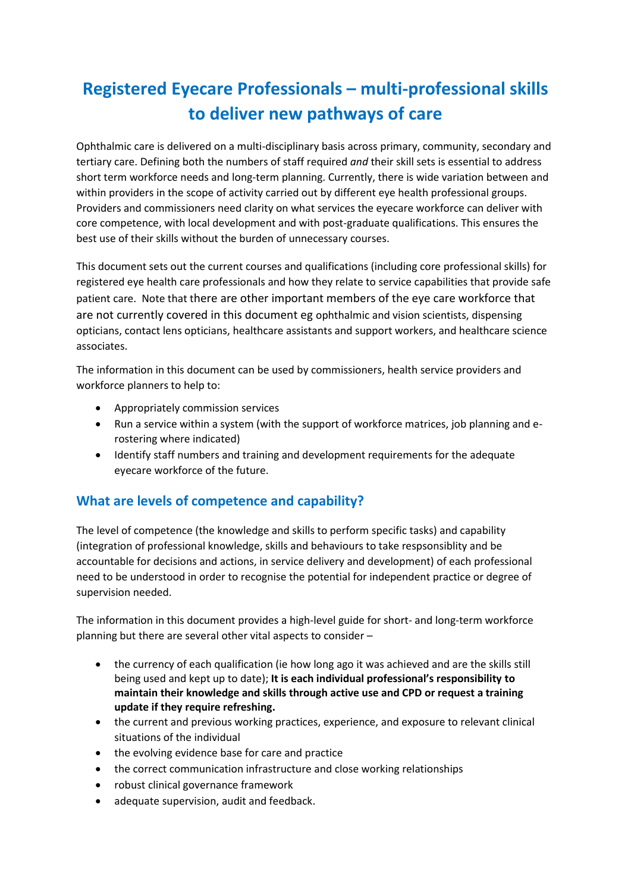# **Registered Eyecare Professionals – multi-professional skills to deliver new pathways of care**

Ophthalmic care is delivered on a multi-disciplinary basis across primary, community, secondary and tertiary care. Defining both the numbers of staff required *and* their skill sets is essential to address short term workforce needs and long-term planning. Currently, there is wide variation between and within providers in the scope of activity carried out by different eye health professional groups. Providers and commissioners need clarity on what services the eyecare workforce can deliver with core competence, with local development and with post-graduate qualifications. This ensures the best use of their skills without the burden of unnecessary courses.

This document sets out the current courses and qualifications (including core professional skills) for registered eye health care professionals and how they relate to service capabilities that provide safe patient care. Note that there are other important members of the eye care workforce that are not currently covered in this document eg ophthalmic and vision scientists, dispensing opticians, contact lens opticians, healthcare assistants and support workers, and healthcare science associates.

The information in this document can be used by commissioners, health service providers and workforce planners to help to:

- Appropriately commission services
- Run a service within a system (with the support of workforce matrices, job planning and erostering where indicated)
- Identify staff numbers and training and development requirements for the adequate eyecare workforce of the future.

# **What are levels of competence and capability?**

The level of competence (the knowledge and skills to perform specific tasks) and capability (integration of professional knowledge, skills and behaviours to take respsonsiblity and be accountable for decisions and actions, in service delivery and development) of each professional need to be understood in order to recognise the potential for independent practice or degree of supervision needed.

The information in this document provides a high-level guide for short- and long-term workforce planning but there are several other vital aspects to consider –

- the currency of each qualification (ie how long ago it was achieved and are the skills still being used and kept up to date); **It is each individual professional's responsibility to maintain their knowledge and skills through active use and CPD or request a training update if they require refreshing.**
- the current and previous working practices, experience, and exposure to relevant clinical situations of the individual
- the evolving evidence base for care and practice
- the correct communication infrastructure and close working relationships
- robust clinical governance framework
- adequate supervision, audit and feedback.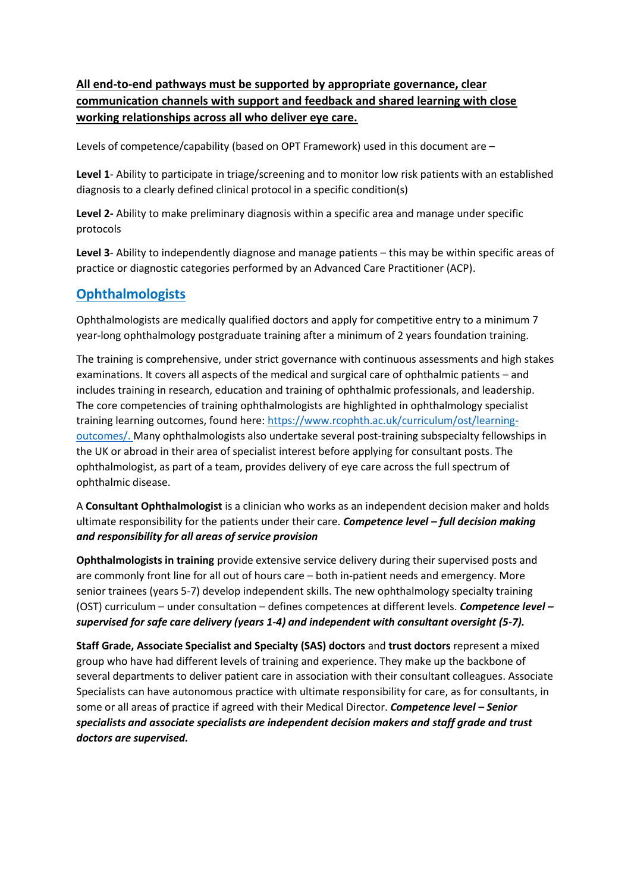# **All end-to-end pathways must be supported by appropriate governance, clear communication channels with support and feedback and shared learning with close working relationships across all who deliver eye care.**

Levels of competence/capability (based on OPT Framework) used in this document are –

**Level 1**- Ability to participate in triage/screening and to monitor low risk patients with an established diagnosis to a clearly defined clinical protocol in a specific condition(s)

**Level 2-** Ability to make preliminary diagnosis within a specific area and manage under specific protocols

**Level 3**- Ability to independently diagnose and manage patients – this may be within specific areas of practice or diagnostic categories performed by an Advanced Care Practitioner (ACP).

# **Ophthalmologists**

Ophthalmologists are medically qualified doctors and apply for competitive entry to a minimum 7 year-long ophthalmology postgraduate training after a minimum of 2 years foundation training.

The training is comprehensive, under strict governance with continuous assessments and high stakes examinations. It covers all aspects of the medical and surgical care of ophthalmic patients – and includes training in research, education and training of ophthalmic professionals, and leadership. The core competencies of training ophthalmologists are highlighted in ophthalmology specialist training learning outcomes, found here[: https://www.rcophth.ac.uk/curriculum/ost/learning](https://www.rcophth.ac.uk/curriculum/ost/learning-outcomes/)[outcomes/.](https://www.rcophth.ac.uk/curriculum/ost/learning-outcomes/) Many ophthalmologists also undertake several post-training subspecialty fellowships in the UK or abroad in their area of specialist interest before applying for consultant posts. The ophthalmologist, as part of a team, provides delivery of eye care across the full spectrum of ophthalmic disease.

A **Consultant Ophthalmologist** is a clinician who works as an independent decision maker and holds ultimate responsibility for the patients under their care. *Competence level – full decision making and responsibility for all areas of service provision* 

**Ophthalmologists in training** provide extensive service delivery during their supervised posts and are commonly front line for all out of hours care – both in-patient needs and emergency. More senior trainees (years 5-7) develop independent skills. The new ophthalmology specialty training (OST) curriculum – under consultation – defines competences at different levels. *Competence level – supervised for safe care delivery (years 1-4) and independent with consultant oversight (5-7).*

**Staff Grade, Associate Specialist and Specialty (SAS) doctors** and **trust doctors** represent a mixed group who have had different levels of training and experience. They make up the backbone of several departments to deliver patient care in association with their consultant colleagues. Associate Specialists can have autonomous practice with ultimate responsibility for care, as for consultants, in some or all areas of practice if agreed with their Medical Director. *Competence level – Senior specialists and associate specialists are independent decision makers and staff grade and trust doctors are supervised.*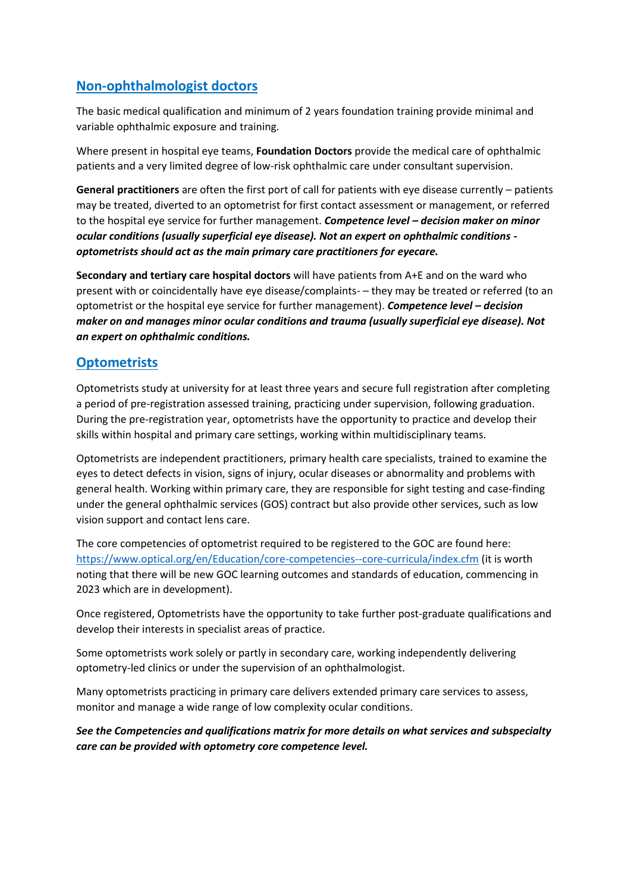# **Non-ophthalmologist doctors**

The basic medical qualification and minimum of 2 years foundation training provide minimal and variable ophthalmic exposure and training.

Where present in hospital eye teams, **Foundation Doctors** provide the medical care of ophthalmic patients and a very limited degree of low-risk ophthalmic care under consultant supervision.

**General practitioners** are often the first port of call for patients with eye disease currently – patients may be treated, diverted to an optometrist for first contact assessment or management, or referred to the hospital eye service for further management. *Competence level – decision maker on minor ocular conditions (usually superficial eye disease). Not an expert on ophthalmic conditions optometrists should act as the main primary care practitioners for eyecare.*

**Secondary and tertiary care hospital doctors** will have patients from A+E and on the ward who present with or coincidentally have eye disease/complaints- – they may be treated or referred (to an optometrist or the hospital eye service for further management). *Competence level – decision maker on and manages minor ocular conditions and trauma (usually superficial eye disease). Not an expert on ophthalmic conditions.*

# **Optometrists**

Optometrists study at university for at least three years and secure full registration after completing a period of pre-registration assessed training, practicing under supervision, following graduation. During the pre-registration year, optometrists have the opportunity to practice and develop their skills within hospital and primary care settings, working within multidisciplinary teams.

Optometrists are independent practitioners, primary health care specialists, trained to examine the eyes to detect defects in vision, signs of injury, ocular diseases or abnormality and problems with general health. Working within primary care, they are responsible for sight testing and case-finding under the general ophthalmic services (GOS) contract but also provide other services, such as low vision support and contact lens care.

The core competencies of optometrist required to be registered to the GOC are found here: <https://www.optical.org/en/Education/core-competencies--core-curricula/index.cfm> (it is worth noting that there will be new GOC learning outcomes and standards of education, commencing in 2023 which are in development).

Once registered, Optometrists have the opportunity to take further post-graduate qualifications and develop their interests in specialist areas of practice.

Some optometrists work solely or partly in secondary care, working independently delivering optometry-led clinics or under the supervision of an ophthalmologist.

Many optometrists practicing in primary care delivers extended primary care services to assess, monitor and manage a wide range of low complexity ocular conditions.

*See the Competencies and qualifications matrix for more details on what services and subspecialty care can be provided with optometry core competence level.*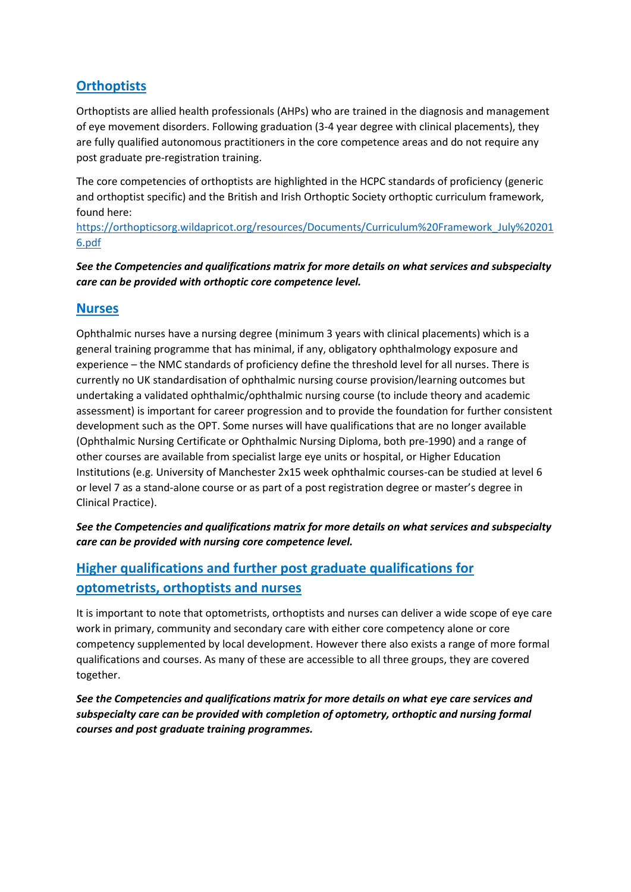# **Orthoptists**

Orthoptists are allied health professionals (AHPs) who are trained in the diagnosis and management of eye movement disorders. Following graduation (3-4 year degree with clinical placements), they are fully qualified autonomous practitioners in the core competence areas and do not require any post graduate pre-registration training.

The core competencies of orthoptists are highlighted in the HCPC standards of proficiency (generic and orthoptist specific) and the British and Irish Orthoptic Society orthoptic curriculum framework, found here:

[https://orthopticsorg.wildapricot.org/resources/Documents/Curriculum%20Framework\\_July%20201](https://orthopticsorg.wildapricot.org/resources/Documents/Curriculum%20Framework_July%202016.pdf) [6.pdf](https://orthopticsorg.wildapricot.org/resources/Documents/Curriculum%20Framework_July%202016.pdf)

*See the Competencies and qualifications matrix for more details on what services and subspecialty care can be provided with orthoptic core competence level.*

# **Nurses**

Ophthalmic nurses have a nursing degree (minimum 3 years with clinical placements) which is a general training programme that has minimal, if any, obligatory ophthalmology exposure and experience – the NMC standards of proficiency define the threshold level for all nurses. There is currently no UK standardisation of ophthalmic nursing course provision/learning outcomes but undertaking a validated ophthalmic/ophthalmic nursing course (to include theory and academic assessment) is important for career progression and to provide the foundation for further consistent development such as the OPT. Some nurses will have qualifications that are no longer available (Ophthalmic Nursing Certificate or Ophthalmic Nursing Diploma, both pre-1990) and a range of other courses are available from specialist large eye units or hospital, or Higher Education Institutions (e.g. University of Manchester 2x15 week ophthalmic courses-can be studied at level 6 or level 7 as a stand-alone course or as part of a post registration degree or master's degree in Clinical Practice).

*See the Competencies and qualifications matrix for more details on what services and subspecialty care can be provided with nursing core competence level.*

# **Higher qualifications and further post graduate qualifications for optometrists, orthoptists and nurses**

It is important to note that optometrists, orthoptists and nurses can deliver a wide scope of eye care work in primary, community and secondary care with either core competency alone or core competency supplemented by local development. However there also exists a range of more formal qualifications and courses. As many of these are accessible to all three groups, they are covered together.

*See the Competencies and qualifications matrix for more details on what eye care services and subspecialty care can be provided with completion of optometry, orthoptic and nursing formal courses and post graduate training programmes.*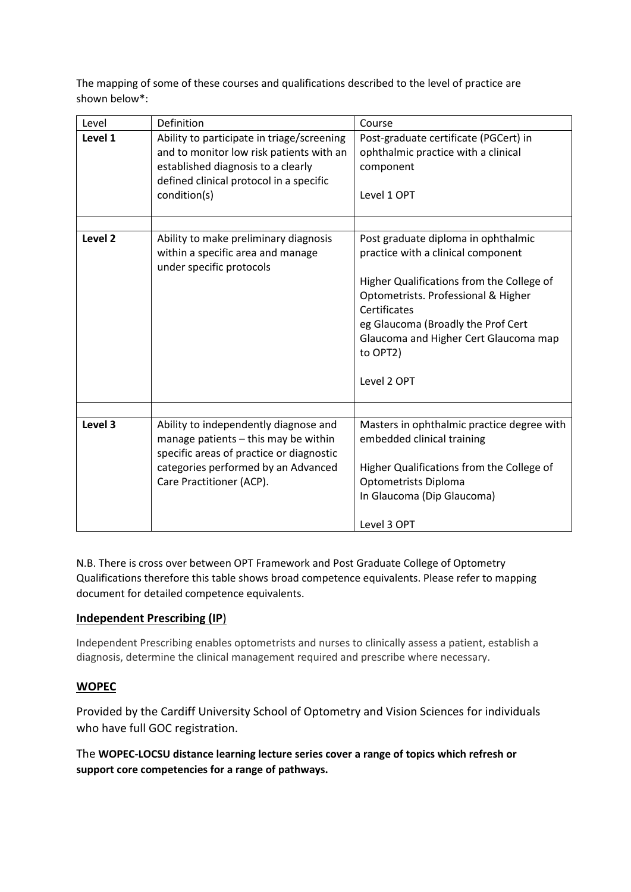The mapping of some of these courses and qualifications described to the level of practice are shown below\*:

| Level              | Definition                                                                                                                                                                                   | Course                                                                                                                                                                                                                                                                                  |
|--------------------|----------------------------------------------------------------------------------------------------------------------------------------------------------------------------------------------|-----------------------------------------------------------------------------------------------------------------------------------------------------------------------------------------------------------------------------------------------------------------------------------------|
| Level 1            | Ability to participate in triage/screening<br>and to monitor low risk patients with an<br>established diagnosis to a clearly<br>defined clinical protocol in a specific<br>condition(s)      | Post-graduate certificate (PGCert) in<br>ophthalmic practice with a clinical<br>component<br>Level 1 OPT                                                                                                                                                                                |
| Level <sub>2</sub> | Ability to make preliminary diagnosis<br>within a specific area and manage<br>under specific protocols                                                                                       | Post graduate diploma in ophthalmic<br>practice with a clinical component<br>Higher Qualifications from the College of<br>Optometrists. Professional & Higher<br>Certificates<br>eg Glaucoma (Broadly the Prof Cert<br>Glaucoma and Higher Cert Glaucoma map<br>to OPT2)<br>Level 2 OPT |
| Level 3            | Ability to independently diagnose and<br>manage patients - this may be within<br>specific areas of practice or diagnostic<br>categories performed by an Advanced<br>Care Practitioner (ACP). | Masters in ophthalmic practice degree with<br>embedded clinical training<br>Higher Qualifications from the College of<br>Optometrists Diploma<br>In Glaucoma (Dip Glaucoma)<br>Level 3 OPT                                                                                              |

N.B. There is cross over between OPT Framework and Post Graduate College of Optometry Qualifications therefore this table shows broad competence equivalents. Please refer to mapping document for detailed competence equivalents.

# **Independent Prescribing (IP**)

Independent Prescribing enables optometrists and nurses to clinically assess a patient, establish a diagnosis, determine the clinical management required and prescribe where necessary.

# **WOPEC**

Provided by the Cardiff University School of Optometry and Vision Sciences for individuals who have full GOC registration.

The **WOPEC-LOCSU distance learning lecture series cover a range of topics which refresh or support core competencies for a range of pathways.**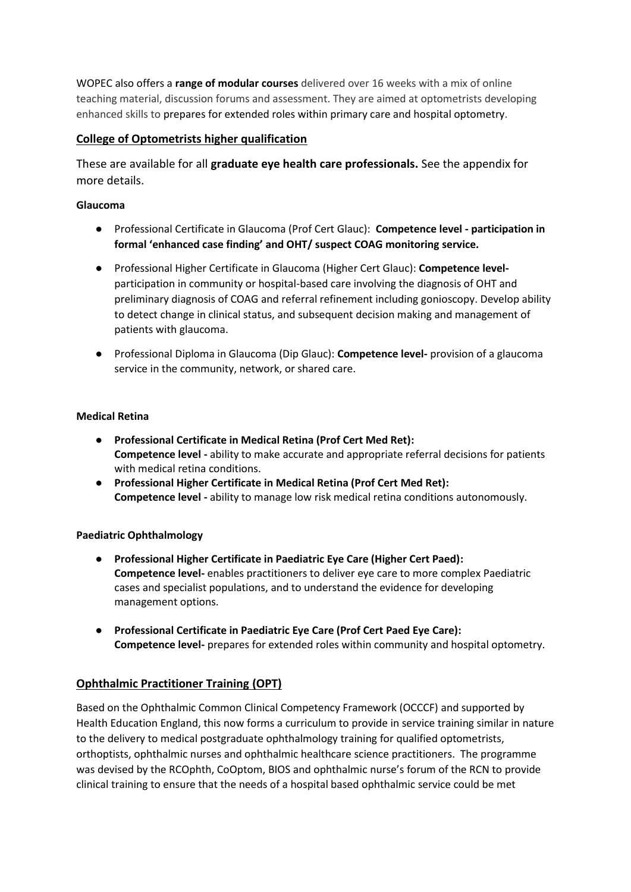WOPEC also offers a **range of modular courses** delivered over 16 weeks with a mix of online teaching material, discussion forums and assessment. They are aimed at optometrists developing enhanced skills to prepares for extended roles within primary care and hospital optometry.

# **College of Optometrists higher qualification**

These are available for all **graduate eye health care professionals.** See the appendix for more details.

# **Glaucoma**

- Professional Certificate in Glaucoma (Prof Cert Glauc): **Competence level - participation in formal 'enhanced case finding' and OHT/ suspect COAG monitoring service.**
- Professional Higher Certificate in Glaucoma (Higher Cert Glauc): **Competence level**participation in community or hospital-based care involving the diagnosis of OHT and preliminary diagnosis of COAG and referral refinement including gonioscopy. Develop ability to detect change in clinical status, and subsequent decision making and management of patients with glaucoma.
- Professional Diploma in Glaucoma (Dip Glauc): **Competence level-** provision of a glaucoma service in the community, network, or shared care.

#### **Medical Retina**

- **Professional Certificate in Medical Retina (Prof Cert Med Ret): Competence level -** ability to make accurate and appropriate referral decisions for patients with medical retina conditions.
- **Professional Higher Certificate in Medical Retina (Prof Cert Med Ret): Competence level -** ability to manage low risk medical retina conditions autonomously.

# **Paediatric Ophthalmology**

- **Professional Higher Certificate in Paediatric Eye Care (Higher Cert Paed): Competence level-** enables practitioners to deliver eye care to more complex Paediatric cases and specialist populations, and to understand the evidence for developing management options.
- **Professional Certificate in Paediatric Eye Care (Prof Cert Paed Eye Care): Competence level-** prepares for extended roles within community and hospital optometry.

# **Ophthalmic Practitioner Training (OPT)**

Based on the Ophthalmic Common Clinical Competency Framework (OCCCF) and supported by Health Education England, this now forms a curriculum to provide in service training similar in nature to the delivery to medical postgraduate ophthalmology training for qualified optometrists, orthoptists, ophthalmic nurses and ophthalmic healthcare science practitioners. The programme was devised by the RCOphth, CoOptom, BIOS and ophthalmic nurse's forum of the RCN to provide clinical training to ensure that the needs of a hospital based ophthalmic service could be met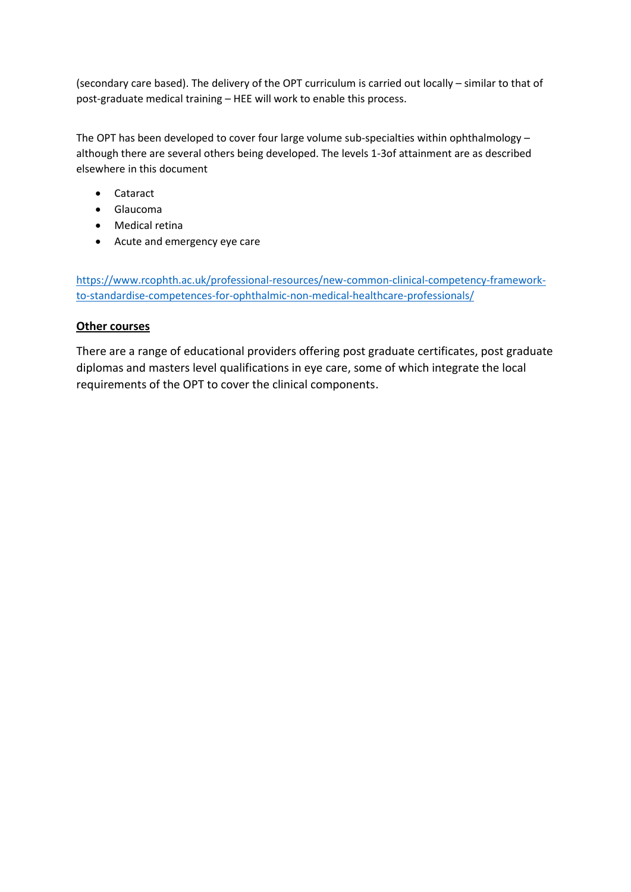(secondary care based). The delivery of the OPT curriculum is carried out locally – similar to that of post-graduate medical training – HEE will work to enable this process.

The OPT has been developed to cover four large volume sub-specialties within ophthalmology – although there are several others being developed. The levels 1-3of attainment are as described elsewhere in this document

- Cataract
- Glaucoma
- Medical retina
- Acute and emergency eye care

[https://www.rcophth.ac.uk/professional-resources/new-common-clinical-competency-framework](https://www.rcophth.ac.uk/professional-resources/new-common-clinical-competency-framework-to-standardise-competences-for-ophthalmic-non-medical-healthcare-professionals/)[to-standardise-competences-for-ophthalmic-non-medical-healthcare-professionals/](https://www.rcophth.ac.uk/professional-resources/new-common-clinical-competency-framework-to-standardise-competences-for-ophthalmic-non-medical-healthcare-professionals/)

# **Other courses**

There are a range of educational providers offering post graduate certificates, post graduate diplomas and masters level qualifications in eye care, some of which integrate the local requirements of the OPT to cover the clinical components.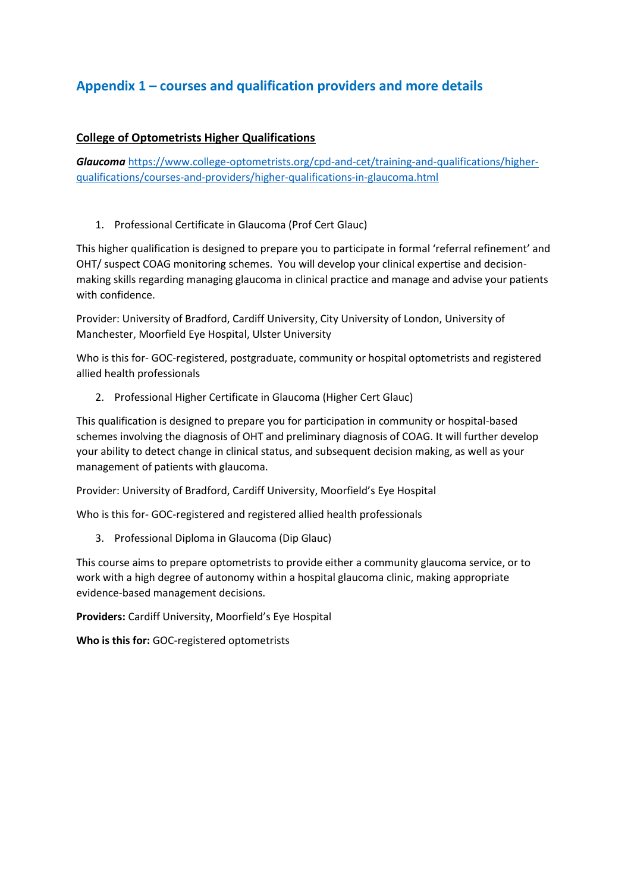# **Appendix 1 – courses and qualification providers and more details**

# **College of Optometrists Higher Qualifications**

*Glaucoma* [https://www.college-optometrists.org/cpd-and-cet/training-and-qualifications/higher](https://www.college-optometrists.org/cpd-and-cet/training-and-qualifications/higher-qualifications/courses-and-providers/higher-qualifications-in-glaucoma.html)[qualifications/courses-and-providers/higher-qualifications-in-glaucoma.html](https://www.college-optometrists.org/cpd-and-cet/training-and-qualifications/higher-qualifications/courses-and-providers/higher-qualifications-in-glaucoma.html)

1. Professional Certificate in Glaucoma (Prof Cert Glauc)

This higher qualification is designed to prepare you to participate in formal 'referral refinement' and OHT/ suspect COAG monitoring schemes. You will develop your clinical expertise and decisionmaking skills regarding managing glaucoma in clinical practice and manage and advise your patients with confidence.

Provider: University of Bradford, Cardiff University, City University of London, University of Manchester, Moorfield Eye Hospital, Ulster University

Who is this for- GOC-registered, postgraduate, community or hospital optometrists and registered allied health professionals

2. Professional Higher Certificate in Glaucoma (Higher Cert Glauc)

This qualification is designed to prepare you for participation in community or hospital-based schemes involving the diagnosis of OHT and preliminary diagnosis of COAG. It will further develop your ability to detect change in clinical status, and subsequent decision making, as well as your management of patients with glaucoma.

Provider: University of Bradford, Cardiff University, Moorfield's Eye Hospital

Who is this for- GOC-registered and registered allied health professionals

3. Professional Diploma in Glaucoma (Dip Glauc)

This course aims to prepare optometrists to provide either a community glaucoma service, or to work with a high degree of autonomy within a hospital glaucoma clinic, making appropriate evidence-based management decisions.

**Providers:** Cardiff University, Moorfield's Eye Hospital

**Who is this for:** GOC-registered optometrists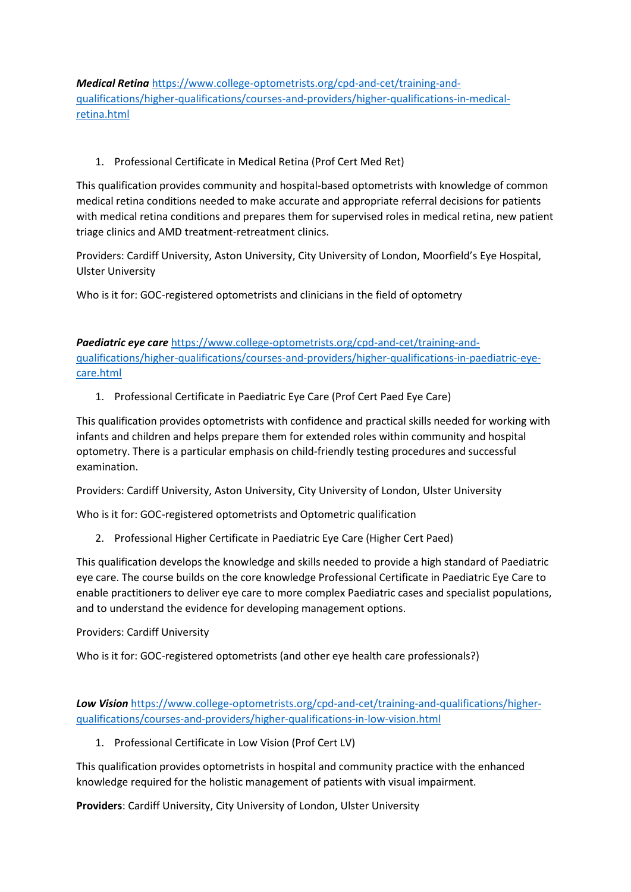*Medical Retina* [https://www.college-optometrists.org/cpd-and-cet/training-and](https://www.college-optometrists.org/cpd-and-cet/training-and-qualifications/higher-qualifications/courses-and-providers/higher-qualifications-in-medical-retina.html)[qualifications/higher-qualifications/courses-and-providers/higher-qualifications-in-medical](https://www.college-optometrists.org/cpd-and-cet/training-and-qualifications/higher-qualifications/courses-and-providers/higher-qualifications-in-medical-retina.html)[retina.html](https://www.college-optometrists.org/cpd-and-cet/training-and-qualifications/higher-qualifications/courses-and-providers/higher-qualifications-in-medical-retina.html)

# 1. Professional Certificate in Medical Retina (Prof Cert Med Ret)

This qualification provides community and hospital-based optometrists with knowledge of common medical retina conditions needed to make accurate and appropriate referral decisions for patients with medical retina conditions and prepares them for supervised roles in medical retina, new patient triage clinics and AMD treatment-retreatment clinics.

Providers: Cardiff University, Aston University, City University of London, Moorfield's Eye Hospital, Ulster University

Who is it for: GOC-registered optometrists and clinicians in the field of optometry

*Paediatric eye care* [https://www.college-optometrists.org/cpd-and-cet/training-and](https://www.college-optometrists.org/cpd-and-cet/training-and-qualifications/higher-qualifications/courses-and-providers/higher-qualifications-in-paediatric-eye-care.html)[qualifications/higher-qualifications/courses-and-providers/higher-qualifications-in-paediatric-eye](https://www.college-optometrists.org/cpd-and-cet/training-and-qualifications/higher-qualifications/courses-and-providers/higher-qualifications-in-paediatric-eye-care.html)[care.html](https://www.college-optometrists.org/cpd-and-cet/training-and-qualifications/higher-qualifications/courses-and-providers/higher-qualifications-in-paediatric-eye-care.html)

1. Professional Certificate in Paediatric Eye Care (Prof Cert Paed Eye Care)

This qualification provides optometrists with confidence and practical skills needed for working with infants and children and helps prepare them for extended roles within community and hospital optometry. There is a particular emphasis on child-friendly testing procedures and successful examination.

Providers: Cardiff University, Aston University, City University of London, Ulster University

Who is it for: GOC-registered optometrists and Optometric qualification

2. Professional Higher Certificate in Paediatric Eye Care (Higher Cert Paed)

This qualification develops the knowledge and skills needed to provide a high standard of Paediatric eye care. The course builds on the core knowledge Professional Certificate in Paediatric Eye Care to enable practitioners to deliver eye care to more complex Paediatric cases and specialist populations, and to understand the evidence for developing management options.

# Providers: Cardiff University

Who is it for: GOC-registered optometrists (and other eye health care professionals?)

*Low Vision* [https://www.college-optometrists.org/cpd-and-cet/training-and-qualifications/higher](https://www.college-optometrists.org/cpd-and-cet/training-and-qualifications/higher-qualifications/courses-and-providers/higher-qualifications-in-low-vision.html)[qualifications/courses-and-providers/higher-qualifications-in-low-vision.html](https://www.college-optometrists.org/cpd-and-cet/training-and-qualifications/higher-qualifications/courses-and-providers/higher-qualifications-in-low-vision.html)

1. Professional Certificate in Low Vision (Prof Cert LV)

This qualification provides optometrists in hospital and community practice with the enhanced knowledge required for the holistic management of patients with visual impairment.

**Providers**: Cardiff University, City University of London, Ulster University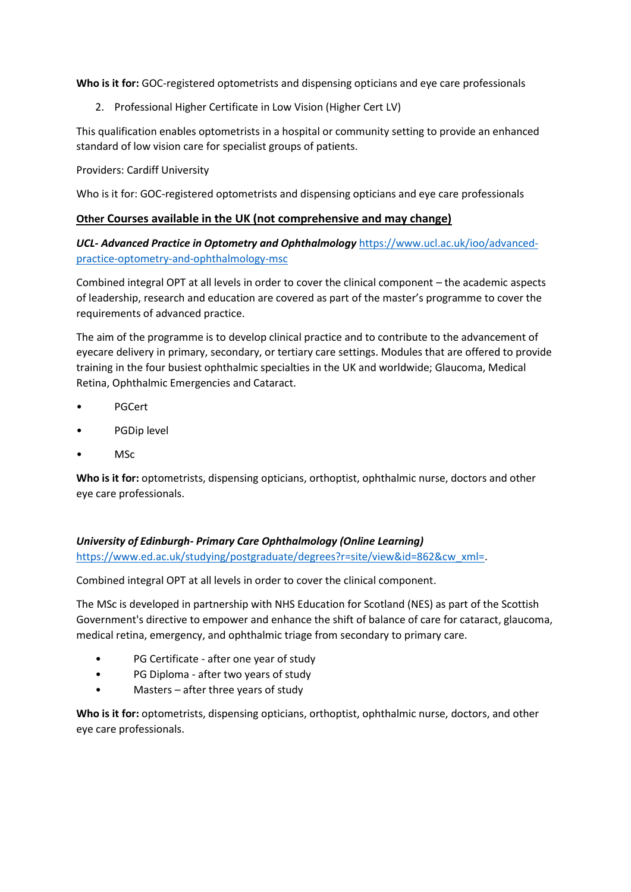**Who is it for:** GOC-registered optometrists and dispensing opticians and eye care professionals

2. Professional Higher Certificate in Low Vision (Higher Cert LV)

This qualification enables optometrists in a hospital or community setting to provide an enhanced standard of low vision care for specialist groups of patients.

# Providers: Cardiff University

Who is it for: GOC-registered optometrists and dispensing opticians and eye care professionals

# **Other Courses available in the UK (not comprehensive and may change)**

*UCL- Advanced Practice in Optometry and Ophthalmology* [https://www.ucl.ac.uk/ioo/advanced](https://www.ucl.ac.uk/ioo/advanced-practice-optometry-and-ophthalmology-msc)[practice-optometry-and-ophthalmology-msc](https://www.ucl.ac.uk/ioo/advanced-practice-optometry-and-ophthalmology-msc)

Combined integral OPT at all levels in order to cover the clinical component – the academic aspects of leadership, research and education are covered as part of the master's programme to cover the requirements of advanced practice.

The aim of the programme is to develop clinical practice and to contribute to the advancement of eyecare delivery in primary, secondary, or tertiary care settings. Modules that are offered to provide training in the four busiest ophthalmic specialties in the UK and worldwide; Glaucoma, Medical Retina, Ophthalmic Emergencies and Cataract.

- PGCert
- PGDip level
- MSc

**Who is it for:** optometrists, dispensing opticians, orthoptist, ophthalmic nurse, doctors and other eye care professionals.

# *University of Edinburgh- Primary Care Ophthalmology (Online Learning)*

[https://www.ed.ac.uk/studying/postgraduate/degrees?r=site/view&id=862&cw\\_xml=.](https://www.ed.ac.uk/studying/postgraduate/degrees?r=site/view&id=862&cw_xml=)

Combined integral OPT at all levels in order to cover the clinical component.

The MSc is developed in partnership with NHS Education for Scotland (NES) as part of the Scottish Government's directive to empower and enhance the shift of balance of care for cataract, glaucoma, medical retina, emergency, and ophthalmic triage from secondary to primary care.

- PG Certificate after one year of study
- PG Diploma after two years of study
- Masters after three years of study

**Who is it for:** optometrists, dispensing opticians, orthoptist, ophthalmic nurse, doctors, and other eye care professionals.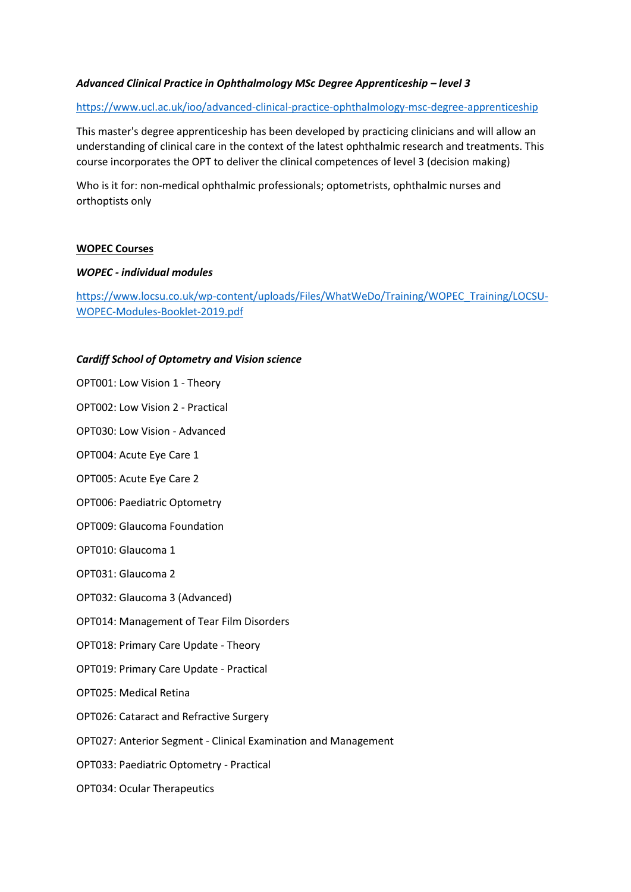#### *Advanced Clinical Practice in Ophthalmology MSc Degree Apprenticeship – level 3*

#### <https://www.ucl.ac.uk/ioo/advanced-clinical-practice-ophthalmology-msc-degree-apprenticeship>

This master's degree apprenticeship has been developed by practicing clinicians and will allow an understanding of clinical care in the context of the latest ophthalmic research and treatments. This course incorporates the OPT to deliver the clinical competences of level 3 (decision making)

Who is it for: non-medical ophthalmic professionals; optometrists, ophthalmic nurses and orthoptists only

#### **WOPEC Courses**

#### *WOPEC - individual modules*

[https://www.locsu.co.uk/wp-content/uploads/Files/WhatWeDo/Training/WOPEC\\_Training/LOCSU-](https://www.locsu.co.uk/wp-content/uploads/Files/WhatWeDo/Training/WOPEC_Training/LOCSU-WOPEC-Modules-Booklet-2019.pdf)[WOPEC-Modules-Booklet-2019.pdf](https://www.locsu.co.uk/wp-content/uploads/Files/WhatWeDo/Training/WOPEC_Training/LOCSU-WOPEC-Modules-Booklet-2019.pdf)

#### *Cardiff School of Optometry and Vision science*

OPT001: Low Vision 1 - Theory OPT002: Low Vision 2 - Practical

OPT030: Low Vision - Advanced

OPT004: Acute Eye Care 1

OPT005: Acute Eye Care 2

OPT006: Paediatric Optometry

OPT009: Glaucoma Foundation

OPT010: Glaucoma 1

OPT031: Glaucoma 2

OPT032: Glaucoma 3 (Advanced)

OPT014: Management of Tear Film Disorders

OPT018: Primary Care Update - Theory

OPT019: Primary Care Update - Practical

OPT025: Medical Retina

OPT026: Cataract and Refractive Surgery

OPT027: Anterior Segment - Clinical Examination and Management

OPT033: Paediatric Optometry - Practical

OPT034: Ocular Therapeutics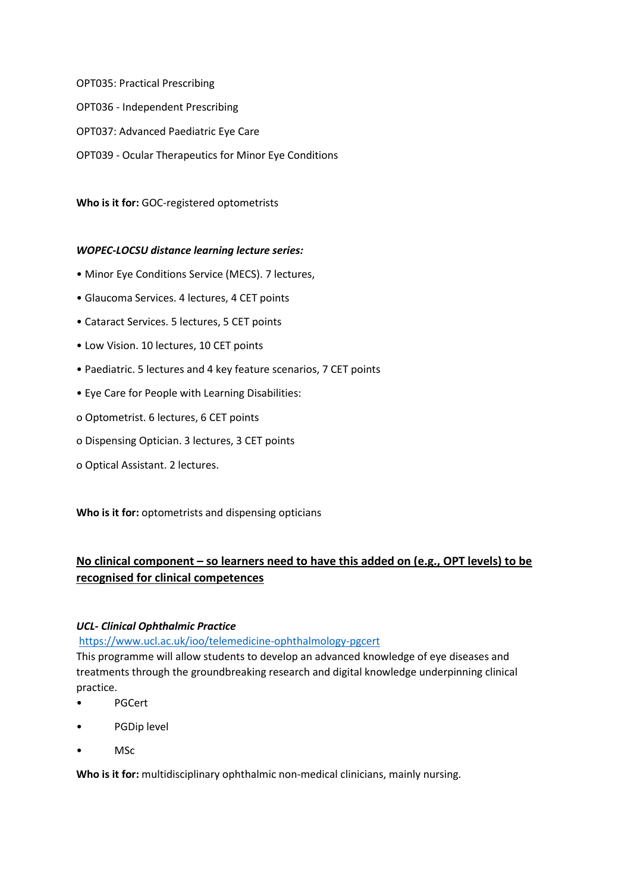OPT035: Practical Prescribing OPT036 - Independent Prescribing OPT037: Advanced Paediatric Eye Care OPT039 - Ocular Therapeutics for Minor Eye Conditions

**Who is it for:** GOC-registered optometrists

# *WOPEC-LOCSU distance learning lecture series:*

- Minor Eye Conditions Service (MECS). 7 lectures,
- Glaucoma Services. 4 lectures, 4 CET points
- Cataract Services. 5 lectures, 5 CET points
- Low Vision. 10 lectures, 10 CET points
- Paediatric. 5 lectures and 4 key feature scenarios, 7 CET points
- Eye Care for People with Learning Disabilities:
- o Optometrist. 6 lectures, 6 CET points
- o Dispensing Optician. 3 lectures, 3 CET points
- o Optical Assistant. 2 lectures.

**Who is it for:** optometrists and dispensing opticians

# **No clinical component – so learners need to have this added on (e.g., OPT levels) to be recognised for clinical competences**

# *UCL- Clinical Ophthalmic Practice*

<https://www.ucl.ac.uk/ioo/telemedicine-ophthalmology-pgcert>

This programme will allow students to develop an advanced knowledge of eye diseases and treatments through the groundbreaking research and digital knowledge underpinning clinical practice.

- PGCert
- PGDip level
- MSc

**Who is it for:** multidisciplinary ophthalmic non-medical clinicians, mainly nursing.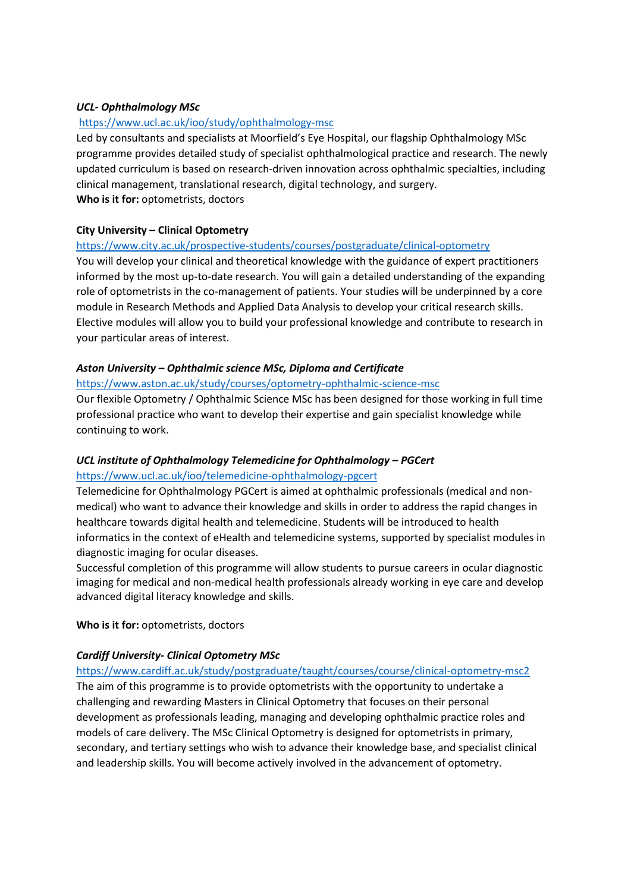### *UCL- Ophthalmology MSc*

#### <https://www.ucl.ac.uk/ioo/study/ophthalmology-msc>

Led by consultants and specialists at Moorfield's Eye Hospital, our flagship Ophthalmology MSc programme provides detailed study of specialist ophthalmological practice and research. The newly updated curriculum is based on research-driven innovation across ophthalmic specialties, including clinical management, translational research, digital technology, and surgery.

**Who is it for:** optometrists, doctors

#### **City University – Clinical Optometry**

#### <https://www.city.ac.uk/prospective-students/courses/postgraduate/clinical-optometry>

You will develop your clinical and theoretical knowledge with the guidance of expert practitioners informed by the most up-to-date research. You will gain a detailed understanding of the expanding role of optometrists in the co-management of patients. Your studies will be underpinned by a core module in Research Methods and Applied Data Analysis to develop your critical research skills. Elective modules will allow you to build your professional knowledge and contribute to research in your particular areas of interest.

#### *Aston University – Ophthalmic science MSc, Diploma and Certificate*

#### <https://www.aston.ac.uk/study/courses/optometry-ophthalmic-science-msc>

Our flexible Optometry / Ophthalmic Science MSc has been designed for those working in full time professional practice who want to develop their expertise and gain specialist knowledge while continuing to work.

#### *UCL institute of Ophthalmology Telemedicine for Ophthalmology – PGCert* <https://www.ucl.ac.uk/ioo/telemedicine-ophthalmology-pgcert>

Telemedicine for Ophthalmology PGCert is aimed at ophthalmic professionals (medical and nonmedical) who want to advance their knowledge and skills in order to address the rapid changes in healthcare towards digital health and telemedicine. Students will be introduced to health informatics in the context of eHealth and telemedicine systems, supported by specialist modules in diagnostic imaging for ocular diseases.

Successful completion of this programme will allow students to pursue careers in ocular diagnostic imaging for medical and non-medical health professionals already working in eye care and develop advanced digital literacy knowledge and skills.

**Who is it for:** optometrists, doctors

#### *Cardiff University- Clinical Optometry MSc*

<https://www.cardiff.ac.uk/study/postgraduate/taught/courses/course/clinical-optometry-msc2> The aim of this programme is to provide optometrists with the opportunity to undertake a challenging and rewarding Masters in Clinical Optometry that focuses on their personal development as professionals leading, managing and developing ophthalmic practice roles and models of care delivery. The MSc Clinical Optometry is designed for optometrists in primary, secondary, and tertiary settings who wish to advance their knowledge base, and specialist clinical and leadership skills. You will become actively involved in the advancement of optometry.